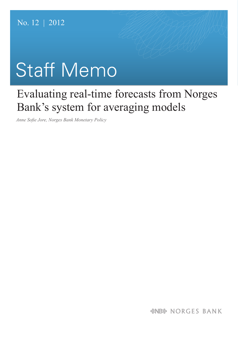# Staff Memo

## Evaluating real-time forecasts from Norges Bank's system for averaging models

*Anne Sofie Jore, Norges Bank Monetary Policy*

*&NB& NORGES BANK*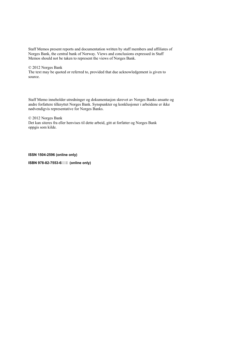Staff Memos present reports and documentation written by staff members and affiliates of Norges Bank, the central bank of Norway. Views and conclusions expressed in Staff Memos should not be taken to represent the views of Norges Bank.

#### © 2012 Norges Bank

The text may be quoted or referred to, provided that due acknowledgement is given to source.

Staff Memo inneholder utredninger og dokumentasjon skrevet av Norges Banks ansatte og andre forfattere tilknyttet Norges Bank. Synspunkter og konklusjoner i arbeidene er ikke nødvendigvis representative for Norges Banks.

© 2012 Norges Bank Det kan siteres fra eller henvises til dette arbeid, gitt at forfatter og Norges Bank oppgis som kilde.

#### **ISSN 1504-2596 (online only)**

**ISBN 978-82-7553-6<sup>\*</sup> - !%(online only)**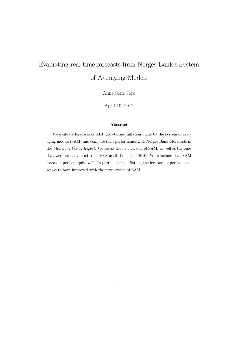### Evaluating real-time forecasts from Norges Bank's System of Averaging Models

Anne Sofie Jore

April 10, 2012

#### Abstract

We evaluate forecasts of GDP growth and inflation made by the system of averaging models (SAM) and compare their performance with Norges Bank's forecasts in the Monetary Policy Report. We assess the new version of SAM, as well as the ones that were actually used from 2008 until the end of 2010. We conclude that SAM forecasts perform quite well. In particular for inflation, the forecasting performance seems to have improved with the new version of SAM.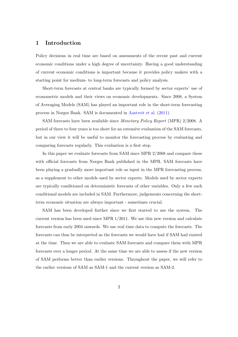#### 1 Introduction

Policy decisions in real time are based on assessments of the recent past and current economic conditions under a high degree of uncertainty. Having a good understanding of current economic conditions is important because it provides policy makers with a starting point for medium- to long-term forecasts and policy analysis.

Short-term forecasts at central banks are typically formed by sector experts' use of econometric models and their views on economic developments. Since 2008, a System of Averaging Models (SAM) has played an important role in the short-term forecasting process in Norges Bank. SAM is documented in [Aastveit et al.](#page-24-0) [\(2011\)](#page-24-0).

SAM forecasts have been available since Monetary Policy Report (MPR) 2/2008. A period of three to four years is too short for an extensive evaluation of the SAM forecasts, but in our view it will be useful to monitor the forecasting process by evaluating and comparing forecasts regularly. This evaluation is a first step.

In this paper we evaluate forecasts from SAM since MPR 2/2008 and compare these with official forecasts from Norges Bank published in the MPR. SAM forecasts have been playing a gradually more important role as input in the MPR forecasting process, as a supplement to other models used by sector experts. Models used by sector experts are typically conditioned on deterministic forecasts of other variables. Only a few such conditional models are included in SAM. Furthermore, judgements concerning the shortterm economic situation are always important - sometimes crucial.

SAM has been developed further since we first started to use the system. The current version has been used since MPR 1/2011. We use this new version and calculate forecasts from early 2004 onwards. We use real time data to compute the forecasts. The forecasts can thus be interpreted as the forecasts we would have had if SAM had existed at the time. Then we are able to evaluate SAM forecasts and compare them with MPR forecasts over a longer period. At the same time we are able to assess if the new version of SAM performs better than earlier versions. Throughout the paper, we will refer to the earlier versions of SAM as SAM-1 and the current version as SAM-2.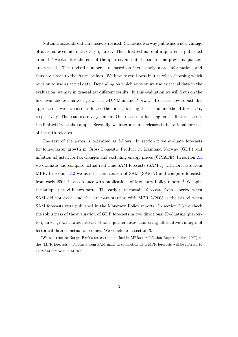National accounts data are heavily revised. Statistics Norway publishes a new vintage of national accounts data every quarter. Their first estimate of a quarter is published around 7 weeks after the end of the quarter, and at the same time previous quarters are revised. The revised numbers are based on increasingly more information, and thus are closer to the "true" values. We have several possibilities when choosing which revision to use as actual data. Depending on which revision we use as actual data in the evaluation, we may in general get different results. In this evaluation we will focus on the first available estimate of growth in GDP Mainland Norway. To check how robust this approach is, we have also evaluated the forecasts using the second and the fifth releases, respectively. The results are very similar. One reason for focusing on the first releases is the limited size of the sample. Secondly, we interpret first releases to be rational forecast of the fifth releases.

The rest of the paper is organized as follows: In section [2](#page-5-0) we evaluate forecasts for four-quarter growth in Gross Domestic Product in Mainland Norway (GDP) and inflation adjusted for tax changes and excluding energy prices (CPIATE). In section [2.1](#page-6-0) we evaluate and compare actual real time SAM forecasts (SAM-1) with forecasts from MPR. In section [2.2](#page-11-0) we use the new version of SAM (SAM-2) and compute forecasts from early 2004, in accordance with publications of Monetary Policy reports.<sup>1</sup> We split the sample period in two parts: The early part contains forecasts from a period when SAM did not exist, and the late part starting with MPR 2/2008 is the period when SAM forecasts were published in the Monetary Policy reports. In section [2.3](#page-18-0) we check the robustness of the evaluation of GDP forecasts in two directions: Evaluating quarterto-quarter growth rates instead of four-quarter rates, and using alternative vintages of historical data as actual outcomes. We conclude in section [3.](#page-22-0)

<sup>1</sup>We will refer to Norges Bank's forecasts published in MPRs (or Inflation Reports before 2007) as the "MPR forecasts". Forecasts from SAM made in connection with MPR forecasts will be referred to as "SAM forecasts in MPR".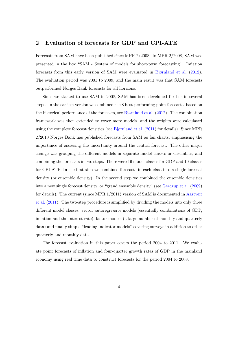#### <span id="page-5-0"></span>2 Evaluation of forecasts for GDP and CPI-ATE

Forecasts from SAM have been published since MPR 2/2008. In MPR 2/2008, SAM was presented in the box "SAM - System of models for short-term forecasting". Inflation forecasts from this early version of SAM were evaluated in [Bjørnland et al.](#page-24-1) [\(2012\)](#page-24-1). The evaluation period was 2001 to 2009, and the main result was that SAM forecasts outperformed Norges Bank forecasts for all horizons.

Since we started to use SAM in 2008, SAM has been developed further in several steps. In the earliest version we combined the 8 best-performing point forecasts, based on the historical performance of the forecasts, see [Bjørnland et al.](#page-24-1) [\(2012\)](#page-24-1). The combination framework was then extended to cover more models, and the weights were calculated using the complete forecast densities (see [Bjørnland et al.](#page-24-2) [\(2011\)](#page-24-2) for details). Since MPR 2/2010 Norges Bank has published forecasts from SAM as fan charts, emphasising the importance of assessing the uncertainty around the central forecast. The other major change was grouping the different models in separate model classes or ensembles, and combining the forecasts in two steps. There were 16 model classes for GDP and 10 classes for CPI-ATE. In the first step we combined forecasts in each class into a single forecast density (or ensemble density). In the second step we combined the ensemble densities into a new single forecast density, or "grand ensemble density" (see [Gerdrup et al.](#page-24-3) [\(2009\)](#page-24-3) for details). The current (since MPR 1/2011) version of SAM is documented in [Aastveit](#page-24-0) [et al.](#page-24-0) [\(2011\)](#page-24-0). The two-step procedure is simplified by dividing the models into only three different model classes: vector autoregressive models (essentially combinations of GDP, inflation and the interest rate), factor models (a large number of monthly and quarterly data) and finally simple "leading indicator models" covering surveys in addition to other quarterly and monthly data.

The forecast evaluation in this paper covers the period 2004 to 2011. We evaluate point forecasts of inflation and four-quarter growth rates of GDP in the mainland economy using real time data to construct forecasts for the period 2004 to 2008.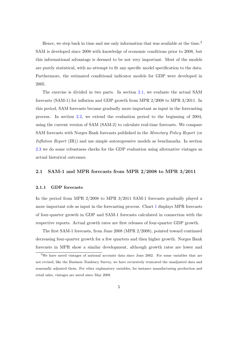Hence, we step back in time and use only information that was available at the time.<sup>2</sup> SAM is developed since 2008 with knowledge of economic conditions prior to 2008, but this informational advantage is deemed to be not very important. Most of the models are purely statistical, with no attempt to fit any specific model specification to the data. Furthermore, the estimated conditional indicator models for GDP were developed in 2005.

The exercise is divided in two parts. In section [2.1,](#page-6-0) we evaluate the actual SAM forecasts (SAM-1) for inflation and GDP growth from MPR 2/2008 to MPR 3/2011. In this period, SAM forecasts became gradually more important as input in the forecasting process. In section [2.2,](#page-11-0) we extend the evaluation period to the beginning of 2004, using the current version of SAM (SAM-2) to calculate real-time forecasts. We compare SAM forecasts with Norges Bank forecasts published in the Monetary Policy Report (or Inflation Report (IR)) and use simple autoregressive models as benchmarks. In section [2.3](#page-18-0) we do some robustness checks for the GDP evaluation using alternative vintages as actual historical outcomes.

#### <span id="page-6-0"></span>2.1 SAM-1 and MPR forecasts from MPR 2/2008 to MPR 3/2011

#### <span id="page-6-1"></span>2.1.1 GDP forecasts

In the period from MPR 2/2008 to MPR 3/2011 SAM-1 forecasts gradually played a more important role as input in the forecasting process. Chart [1](#page-7-0) displays MPR forecasts of four-quarter growth in GDP and SAM-1 forecasts calculated in connection with the respective reports. Actual growth rates are first releases of four-quarter GDP growth.

The first SAM-1 forecasts, from June 2008 (MPR 2/2008), pointed toward continued decreasing four-quarter growth for a few quarters and then higher growth. Norges Bank forecasts in MPR show a similar development, although growth rates are lower and

<sup>&</sup>lt;sup>2</sup>We have saved vintages of national accounts data since June 2002. For some variables that are not revised, like the Business Tendency Survey, we have recursively truncated the unadjusted data and seasonally adjusted them. For other explanatory variables, for instance manufacturing production and retail sales, vintages are saved since May 2009.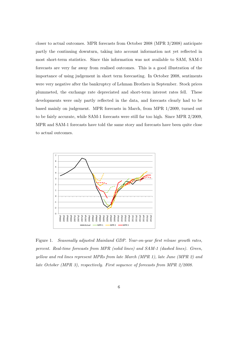closer to actual outcomes. MPR forecasts from October 2008 (MPR 3/2008) anticipate partly the continuing downturn, taking into account information not yet reflected in most short-term statistics. Since this information was not available to SAM, SAM-1 forecasts are very far away from realised outcomes. This is a good illustration of the importance of using judgement in short term forecasting. In October 2008, sentiments were very negative after the bankruptcy of Lehman Brothers in September. Stock prices plummeted, the exchange rate depreciated and short-term interest rates fell. These developments were only partly reflected in the data, and forecasts clearly had to be based mainly on judgement. MPR forecasts in March, from MPR 1/2009, turned out to be fairly accurate, while SAM-1 forecasts were still far too high. Since MPR 2/2009, MPR and SAM-1 forecasts have told the same story and forecasts have been quite close to actual outcomes.



<span id="page-7-0"></span>Figure 1. Seasonally adjusted Mainland GDP. Year-on-year first release growth rates, percent. Real-time forecasts from MPR (solid lines) and SAM-1 (dashed lines). Green, yellow and red lines represent MPRs from late March (MPR 1), late June (MPR 2) and late October (MPR 3), respectively. First sequence of forecasts from MPR 2/2008.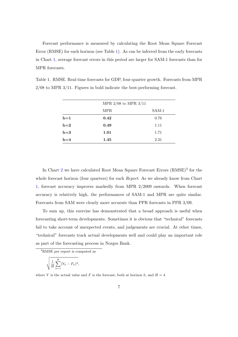Forecast performance is measured by calculating the Root Mean Square Forecast Error (RMSE) for each horizon (see Table [1\)](#page-8-0). As can be inferred from the early forecasts in Chart [1,](#page-7-0) average forecast errors in this period are larger for SAM-1 forecasts than for MPR forecasts.

| MPR $2/08$ to MPR $3/11$ |       |
|--------------------------|-------|
| MPR.                     | SAM-1 |

 $h=1$  0.42 0.76  $h=2$  0.49 1.11  $h=3$  1.01 1.71  $h=4$  1.45 2.31

<span id="page-8-0"></span>Table 1. RMSE. Real-time forecasts for GDP, four-quarter growth. Forecasts from MPR 2/08 to MPR 3/11. Figures in bold indicate the best-performing forecast.

In Chart [2](#page-9-0) we have calculated Root Mean Square Forecast Errors (RMSE)<sup>3</sup> for the whole forecast horizon (four quarters) for each *Report*. As we already know from Chart [1,](#page-7-0) forecast accuracy improves markedly from MPR 2/2009 onwards. When forecast accuracy is relatively high, the performances of SAM-1 and MPR are quite similar. Forecasts from SAM were clearly more accurate than PPR forecasts in PPR 3/09.

To sum up, this exercise has demonstrated that a broad approach is useful when forecasting short-term developments. Sometimes it is obvious that "technical" forecasts fail to take account of unexpected events, and judgements are crucial. At other times, "technical" forecasts track actual developments well and could play an important role as part of the forecasting process in Norges Bank.

<sup>3</sup>RMSE per report is computed as

$$
\sqrt{\frac{1}{H}\sum_{h=1}^{H}(Y_h - F_h)^2},
$$

where Y is the actual value and F is the forecast, both at horizon h, and  $H = 4$ .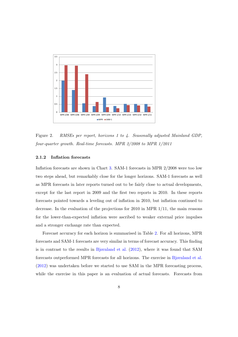

<span id="page-9-0"></span>Figure 2. RMSEs per report, horizons 1 to 4. Seasonally adjusted Mainland GDP, four-quarter growth. Real-time forecasts. MPR 2/2008 to MPR 1/2011

#### <span id="page-9-1"></span>2.1.2 Inflation forecasts

Inflation forecasts are shown in Chart [3.](#page-10-0) SAM-1 forecasts in MPR 2/2008 were too low two steps ahead, but remarkably close for the longer horizons. SAM-1 forecasts as well as MPR forecasts in later reports turned out to be fairly close to actual developments, except for the last report in 2009 and the first two reports in 2010. In these reports forecasts pointed towards a leveling out of inflation in 2010, but inflation continued to decrease. In the evaluation of the projections for 2010 in MPR 1/11, the main reasons for the lower-than-expected inflation were ascribed to weaker external price impulses and a stronger exchange rate than expected.

Forecast accuracy for each horizon is summarised in Table [2.](#page-11-1) For all horizons, MPR forecasts and SAM-1 forecasts are very similar in terms of forecast accuracy. This finding is in contrast to the results in [Bjørnland et al.](#page-24-1)  $(2012)$ , where it was found that SAM forecasts outperformed MPR forecasts for all horizons. The exercise in [Bjørnland et al.](#page-24-1) [\(2012\)](#page-24-1) was undertaken before we started to use SAM in the MPR forecasting process, while the exercise in this paper is an evaluation of actual forecasts. Forecasts from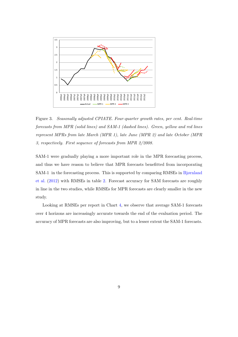

<span id="page-10-0"></span>Figure 3. Seasonally adjusted CPIATE. Four-quarter growth rates, per cent. Real-time forecasts from MPR (solid lines) and SAM-1 (dashed lines). Green, yellow and red lines represent MPRs from late March (MPR 1), late June (MPR 2) and late October (MPR 3, respectively. First sequence of forecasts from MPR 2/2008.

SAM-1 were gradually playing a more important role in the MPR forecasting process, and thus we have reason to believe that MPR forecasts benefitted from incorporating SAM-1 in the forecasting process. This is supported by comparing RMSEs in [Bjørnland](#page-24-1) [et al.](#page-24-1) [\(2012\)](#page-24-1) with RMSEs in table [2.](#page-11-1) Forecast accuracy for SAM forecasts are roughly in line in the two studies, while RMSEs for MPR forecasts are clearly smaller in the new study.

Looking at RMSEs per report in Chart [4,](#page-11-2) we observe that average SAM-1 forecasts over 4 horizons are increasingly accurate towards the end of the evaluation period. The accuracy of MPR forecasts are also improving, but to a lesser extent the SAM-1 forecasts.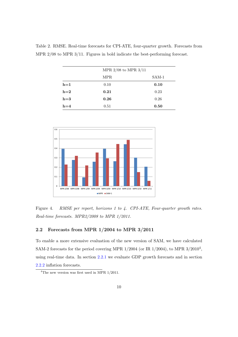|       | MPR $2/08$ to MPR $3/11$ |         |
|-------|--------------------------|---------|
|       | <b>MPR</b>               | $SAM-1$ |
| $h=1$ | 0.10                     | 0.10    |
| $h=2$ | 0.21                     | 0.23    |
| $h=3$ | 0.26                     | 0.26    |
| $h=4$ | 0.51                     | 0.50    |

<span id="page-11-1"></span>Table 2. RMSE. Real-time forecasts for CPI-ATE, four-quarter growth. Forecasts from MPR 2/08 to MPR 3/11. Figures in bold indicate the best-performing forecast.



<span id="page-11-2"></span>Figure 4. RMSE per report, horizons 1 to 4. CPI-ATE, Four-quarter growth rates. Real-time forecasts. MPR2/2008 to MPR 1/2011.

#### <span id="page-11-0"></span>2.2 Forecasts from MPR 1/2004 to MPR 3/2011

To enable a more extensive evaluation of the new version of SAM, we have calculated SAM-2 forecasts for the period covering MPR  $1/2004$  (or IR  $1/2004$ ), to MPR  $3/2010<sup>4</sup>$ , using real-time data. In section [2.2.1](#page-12-0) we evaluate GDP growth forecasts and in section [2.2.2](#page-15-0) inflation forecasts.

<sup>4</sup>The new version was first used in MPR 1/2011.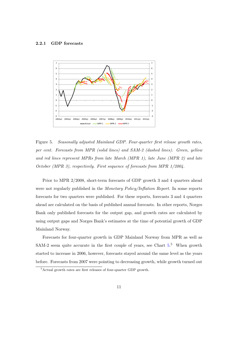#### <span id="page-12-0"></span>2.2.1 GDP forecasts



<span id="page-12-1"></span>Figure 5. Seasonally adjusted Mainland GDP. Four-quarter first release growth rates, per cent. Forecasts from MPR (solid lines) and SAM-2 (dashed lines). Green, yellow and red lines represent MPRs from late March (MPR 1), late June (MPR 2) and late October (MPR 3), respectively. First sequence of forecasts from MPR 1/2004.

Prior to MPR 2/2008, short-term forecasts of GDP growth 3 and 4 quarters ahead were not regularly published in the Monetary Policy/Inflation Report. In some reports forecasts for two quarters were published. For these reports, forecasts 3 and 4 quarters ahead are calculated on the basis of published annual forecasts. In other reports, Norges Bank only published forecasts for the output gap, and growth rates are calculated by using output gaps and Norges Bank's estimates at the time of potential growth of GDP Mainland Norway.

Forecasts for four-quarter growth in GDP Mainland Norway from MPR as well as SAM-2 seem quite accurate in the first couple of years, see Chart  $5<sup>5</sup>$  When growth started to increase in 2006, however, forecasts stayed around the same level as the years before. Forecasts from 2007 were pointing to decreasing growth, while growth turned out

<sup>5</sup>Actual growth rates are first releases of four-quarter GDP growth.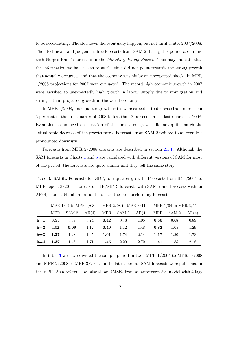to be accelerating. The slowdown did eventually happen, but not until winter 2007/2008. The "technical" and judgement free forecasts from SAM-2 during this period are in line with Norges Bank's forecasts in the *Monetary Policy Report*. This may indicate that the information we had access to at the time did not point towards the strong growth that actually occurred, and that the economy was hit by an unexpected shock. In MPR 1/2008 projections for 2007 were evaluated. The record high economic growth in 2007 were ascribed to unexpectedly high growth in labour supply due to immigration and stronger than projected growth in the world economy.

In MPR 1/2008, four-quarter growth rates were expected to decrease from more than 5 per cent in the first quarter of 2008 to less than 2 per cent in the last quarter of 2008. Even this pronounced deceleration of the forecasted growth did not quite match the actual rapid decrease of the growth rates. Forecasts from SAM-2 pointed to an even less pronounced downturn.

Forecasts from MPR 2/2008 onwards are described in section [2.1.1.](#page-6-1) Although the SAM forecasts in Charts [1](#page-7-0) and [5](#page-12-1) are calculated with different versions of SAM for most of the period, the forecasts are quite similar and they tell the same story.

<span id="page-13-0"></span>Table 3. RMSE. Forecasts for GDP, four-quarter growth. Forecasts from IR 1/2004 to MPR report 3/2011. Forecasts in IR/MPR, forecasts with SAM-2 and forecasts with an AR(4) model. Numbers in bold indicate the best-performing forecast.

|       | MPR $1/04$ to MPR $1/08$ |       |       | MPR $2/08$ to MPR $3/11$ |       |       | MPR $1/04$ to MPR $3/11$ |          |       |
|-------|--------------------------|-------|-------|--------------------------|-------|-------|--------------------------|----------|-------|
|       | <b>MPR</b>               | SAM-2 | AR(4) | <b>MPR</b>               | SAM-2 | AR(4) | <b>MPR</b>               | SAM-2    | AR(4) |
| $h=1$ | 0.55                     | 0.59  | 0.74  | 0.42                     | 0.78  | 1.05  | 0.50                     | 0.68     | 0.89  |
| $h=2$ | 1.02                     | 0.99  | 1.12  | 0.49                     | 1.12  | 1.48  | 0.82                     | 1.05     | 1.29  |
| $h=3$ | 1.27                     | 1.28  | 1.45  | 1.01                     | 1.74  | 2.14  | 1.17                     | $1.50\,$ | 1.78  |
| $h=4$ | 1.37                     | 1.46  | 1.71  | 1.45                     | 2.29  | 2.72  | 1.41                     | 1.85     | 2.18  |

In table [3](#page-13-0) we have divided the sample period in two: MPR 1/2004 to MPR 1/2008 and MPR 2/2008 to MPR 3/2011. In the latest period, SAM forecasts were published in the MPR. As a reference we also show RMSEs from an autoregressive model with 4 lags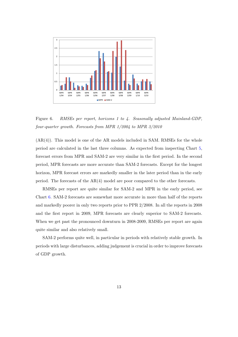

<span id="page-14-0"></span>Figure 6. RMSEs per report, horizons 1 to 4. Seasonally adjusted Mainland-GDP, four-quarter growth. Forecasts from MPR 1/2004 to MPR 3/2010

 $(AR(4))$ . This model is one of the AR models included in SAM. RMSEs for the whole period are calculated in the last three columns. As expected from inspecting Chart [5,](#page-12-1) forecast errors from MPR and SAM-2 are very similar in the first period. In the second period, MPR forecasts are more accurate than SAM-2 forecasts. Except for the longest horizon, MPR forecast errors are markedly smaller in the later period than in the early period. The forecasts of the  $AR(4)$  model are poor compared to the other forecasts.

RMSEs per report are quite similar for SAM-2 and MPR in the early period, see Chart [6.](#page-14-0) SAM-2 forecasts are somewhat more accurate in more than half of the reports and markedly poorer in only two reports prior to PPR 2/2008. In all the reports in 2008 and the first report in 2009, MPR forecasts are clearly superior to SAM-2 forecasts. When we get past the pronounced downturn in 2008-2009, RMSEs per report are again quite similar and also relatively small.

SAM-2 performs quite well, in particular in periods with relatively stable growth. In periods with large disturbances, adding judgement is crucial in order to improve forecasts of GDP growth.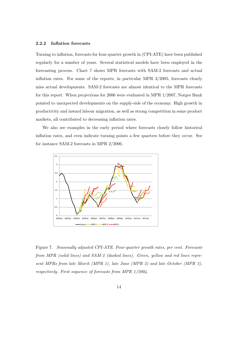#### <span id="page-15-0"></span>2.2.2 Inflation forecasts

Turning to inflation, forecasts for four-quarter growth in (CPI-ATE) have been published regularly for a number of years. Several statistical models have been employed in the forecasting process. Chart [7](#page-15-1) shows MPR forecasts with SAM-2 forecasts and actual inflation rates. For some of the reports, in particular MPR 3/2005, forecasts clearly miss actual developments. SAM-2 forecasts are almost identical to the MPR forecasts for this report. When projections for 2006 were evaluated in MPR 1/2007, Norges Bank pointed to unexpected developments on the supply-side of the economy. High growth in productivity and inward labour migration, as well as strong competition in some product markets, all contributed to decreasing inflation rates.

We also see examples in the early period where forecasts closely follow historical inflation rates, and even indicate turning points a few quarters before they occur. See for instance SAM-2 forecasts in MPR 2/2006.



<span id="page-15-1"></span>Figure 7. Seasonally adjusted CPI-ATE. Four-quarter growth rates, per cent. Forecasts from MPR (solid lines) and SAM-2 (dashed lines). Green, yellow and red lines represent MPRs from late March (MPR 1), late June (MPR 2) and late October (MPR 3), respectively. First sequence of forecasts from MPR 1/2004.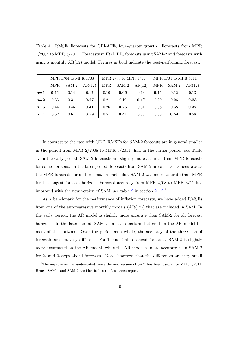<span id="page-16-0"></span>Table 4. RMSE. Forecasts for CPI-ATE, four-quarter growth. Forecasts from MPR 1/2004 to MPR 3/2011. Forecasts in IR/MPR, forecasts using SAM-2 and forecasts with using a monthly  $AR(12)$  model. Figures in bold indicate the best-performing forecast.

|       | MPR $1/04$ to MPR $1/08$ |       |        | MPR $2/08$ to MPR $3/11$ |         |        | MPR $1/04$ to MPR $3/11$ |         |        |
|-------|--------------------------|-------|--------|--------------------------|---------|--------|--------------------------|---------|--------|
|       | <b>MPR</b>               | SAM-2 | AR(12) | MPR                      | $SAM-2$ | AR(12) | <b>MPR</b>               | $SAM-2$ | AR(12) |
| $h=1$ | 0.11                     | 0.14  | 0.12   | 0.10                     | 0.09    | 0.13   | 0.11                     | 0.12    | 0.13   |
| $h=2$ | 0.33                     | 0.31  | 0.27   | 0.21                     | 0.19    | 0.17   | 0.29                     | 0.26    | 0.23   |
| $h=3$ | 0.44                     | 0.45  | 0.41   | 0.26                     | 0.25    | 0.31   | 0.38                     | 0.38    | 0.37   |
| $h=4$ | 0.62                     | 0.61  | 0.59   | 0.51                     | 0.41    | 0.50   | 0.58                     | 0.54    | 0.58   |

In contrast to the case with GDP, RMSEs for SAM-2 forecasts are in general smaller in the period from MPR 2/2008 to MPR 3/2011 than in the earlier period, see Table [4.](#page-16-0) In the early period, SAM-2 forecasts are slightly more accurate than MPR forecasts for some horizons. In the later period, forecasts from SAM-2 are at least as accurate as the MPR forecasts for all horizons. In particular, SAM-2 was more accurate than MPR for the longest forecast horizon. Forecast accuracy from MPR 2/08 to MPR 3/11 has improved with the new version of SAM, see table [2](#page-11-1) in section  $2.1.2$ .<sup>6</sup>

As a benchmark for the performance of inflation forecasts, we have added RMSEs from one of the autoregressive monthly models  $(AR(12))$  that are included in SAM. In the early period, the AR model is slightly more accurate than SAM-2 for all forecast horizons. In the later period, SAM-2 forecasts perform better than the AR model for most of the horizons. Over the period as a whole, the accuracy of the three sets of forecasts are not very different. For 1- and 4-steps ahead forecasts, SAM-2 is slightly more accurate than the AR model, while the AR model is more accurate than SAM-2 for 2- and 3-steps ahead forecasts. Note, however, that the differences are very small

 $6$ The improvement is understated, since the new version of SAM has been used since MPR  $1/2011$ . Hence, SAM-1 and SAM-2 are identical in the last three reports.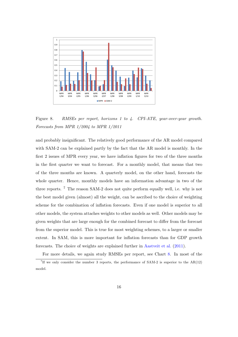

<span id="page-17-0"></span>Figure 8. RMSEs per report, horizons 1 to 4. CPI-ATE, year-over-year growth. Forecasts from MPR 1/2004 to MPR 1/2011

and probably insignificant. The relatively good performance of the AR model compared with SAM-2 can be explained partly by the fact that the AR model is monthly. In the first 2 issues of MPR every year, we have inflation figures for two of the three months in the first quarter we want to forecast. For a monthly model, that means that two of the three months are known. A quarterly model, on the other hand, forecasts the whole quarter. Hence, monthly models have an information advantage in two of the three reports. <sup>7</sup> The reason SAM-2 does not quite perform equally well, i.e. why is not the best model given (almost) all the weight, can be ascribed to the choice of weighting scheme for the combination of inflation forecasts. Even if one model is superior to all other models, the system attaches weights to other models as well. Other models may be given weights that are large enough for the combined forecast to differ from the forecast from the superior model. This is true for most weighting schemes, to a larger or smaller extent. In SAM, this is more important for inflation forecasts than for GDP growth forecasts. The choice of weights are explained further in [Aastveit et al.](#page-24-0) [\(2011\)](#page-24-0).

For more details, we again study RMSEs per report, see Chart [8.](#page-17-0) In most of the

<sup>&</sup>lt;sup>7</sup>If we only consider the number 3 reports, the performance of SAM-2 is superior to the  $AR(12)$ model.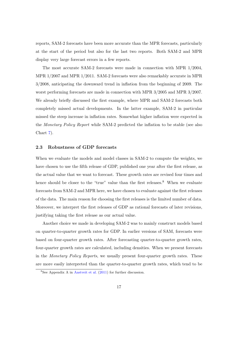reports, SAM-2 forecasts have been more accurate than the MPR forecasts, particularly at the start of the period but also for the last two reports. Both SAM-2 and MPR display very large forecast errors in a few reports.

The most accurate SAM-2 forecasts were made in connection with MPR 1/2004, MPR 1/2007 and MPR 1/2011. SAM-2 forecasts were also remarkably accurate in MPR 3/2008, anticipating the downward trend in inflation from the beginning of 2009. The worst performing forecasts are made in connection with MPR 3/2005 and MPR 3/2007. We already briefly discussed the first example, where MPR and SAM-2 forecasts both completely missed actual developments. In the latter example, SAM-2 in particular missed the steep increase in inflation rates. Somewhat higher inflation were expected in the Monetary Policy Report while SAM-2 predicted the inflation to be stable (see also Chart [7\)](#page-15-1).

#### <span id="page-18-0"></span>2.3 Robustness of GDP forecasts

When we evaluate the models and model classes in SAM-2 to compute the weights, we have chosen to use the fifth release of GDP, published one year after the first release, as the actual value that we want to forecast. These growth rates are revised four times and hence should be closer to the "true" value than the first releases.<sup>8</sup> When we evaluate forecasts from SAM-2 and MPR here, we have chosen to evaluate against the first releases of the data. The main reason for choosing the first releases is the limited number of data. Moreover, we interpret the first releases of GDP as rational forecasts of later revisions, justifying taking the first release as our actual value.

Another choice we made in developing SAM-2 was to mainly construct models based on quarter-to-quarter growth rates for GDP. In earlier versions of SAM, forecasts were based on four-quarter growth rates. After forecasting quarter-to-quarter growth rates, four-quarter growth rates are calculated, including densities. When we present forecasts in the Monetary Policy Reports, we usually present four-quarter growth rates. These are more easily interpreted than the quarter-to-quarter growth rates, which tend to be

<sup>8</sup>See Appendix A in [Aastveit et al.](#page-24-0) [\(2011\)](#page-24-0) for further discussion.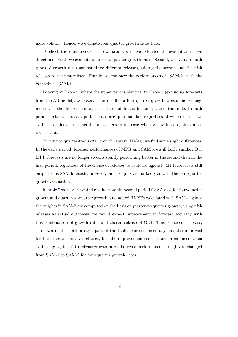more volatile. Hence, we evaluate four-quarter growth rates here.

To check the robustness of the evaluation, we have extended the evaluation in two directions: First, we evaluate quarter-to-quarter growth rates. Second, we evaluate both types of growth rates against three different releases, adding the second and the fifth releases to the first release. Finally, we compare the performances of "SAM-2" with the "real-time" SAM-1.

Looking at Table [5,](#page-20-0) where the upper part is identical to Table [3](#page-13-0) (excluding forecasts from the AR model), we observe that results for four-quarter growth rates do not change much with the different vintages, see the middle and bottom parts of the table. In both periods relative forecast performance are quite similar, regardless of which release we evaluate against. In general, forecast errors increase when we evaluate against more revised data.

Turning to quarter-to-quarter growth rates in Table [6,](#page-21-0) we find some slight differences. In the early period, forecast performances of MPR and SAM are still fairly similar. But MPR forecasts are no longer so consistently performing better in the second than in the first period, regardless of the choice of releases to evaluate against. MPR forecasts still outperforms SAM forecasts, however, but not quite as markedly as with the four-quarter growth evaluation.

In table [7](#page-22-1) we have repeated results from the second period for SAM-2, for four-quarter growth and quarter-to-quarter growth, and added RMSEs calculated with SAM-1. Since the weights in SAM-2 are computed on the basis of quarter-to-quarter growth, using fifth releases as actual outcomes, we would expect improvement in forecast accuracy with this combination of growth rates and chosen release of GDP. This is indeed the case, as shown in the bottom right part of the table. Forecast accuracy has also improved for the other alternative releases, but the improvement seems more pronounced when evaluating against fifth release growth rates. Forecast performance is roughly unchanged from SAM-1 to SAM-2 for four-quarter growth rates.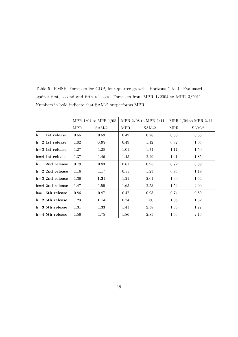|                   | MPR $1/04$ to MPR $1/08$ |         |            | MPR $2/08$ to MPR $2/11$ | MPR $1/04$ to MPR $2/11$ |       |
|-------------------|--------------------------|---------|------------|--------------------------|--------------------------|-------|
|                   | <b>MPR</b>               | $SAM-2$ | <b>MPR</b> | $SAM-2$                  | <b>MPR</b>               | SAM-2 |
| $h=1$ 1st release | 0.55                     | 0.59    | 0.42       | 0.78                     | 0.50                     | 0.68  |
| $h=2$ 1st release | 1.02                     | 0.99    | 0.49       | 1.12                     | 0.82                     | 1.05  |
| $h=3$ 1st release | 1.27                     | 1.28    | 1.01       | 1.74                     | 1.17                     | 1.50  |
| $h=4$ 1st release | 1.37                     | 1.46    | 1.45       | 2.29                     | 1.41                     | 1.85  |
| $h=1$ 2nd release | 0.79                     | 0.83    | 0.61       | 0.95                     | 0.72                     | 0.89  |
| $h=2$ 2nd release | 1.16                     | 1.17    | 0.55       | 1.23                     | 0.95                     | 1.19  |
| $h=3$ 2nd release | 1.36                     | 1.34    | 1.21       | 2.01                     | 1.30                     | 1.64  |
| $h=4$ 2nd release | 1.47                     | 1.59    | 1.65       | 2.53                     | 1.54                     | 2.00  |
| $h=1$ 5th release | 0.86                     | 0.87    | 0.47       | 0.93                     | 0.74                     | 0.89  |
| $h=2$ 5th release | 1.23                     | 1.14    | 0.74       | 1.60                     | 1.08                     | 1.32  |
| $h=3$ 5th release | 1.31                     | 1.33    | 1.41       | 2.38                     | 1.35                     | 1.77  |
| $h=4$ 5th release | 1.56                     | 1.75    | 1.86       | 2.85                     | 1.66                     | 2.16  |

<span id="page-20-0"></span>Table 5. RMSE. Forecasts for GDP, four-quarter growth. Horizons 1 to 4. Evaluated against first, second and fifth releases. Forecasts from MPR 1/2004 to MPR 3/2011. Numbers in bold indicate that SAM-2 outperforms MPR.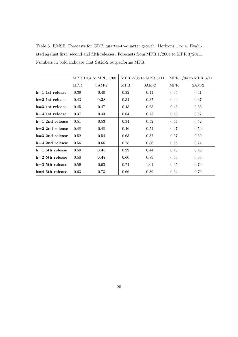<span id="page-21-0"></span>Table 6. RMSE. Forecasts for GDP, quarter-to-quarter growth. Horizons 1 to 4. Evaluated against first, second and fifth releases. Forecasts from MPR 1/2004 to MPR 3/2011. Numbers in bold indicate that SAM-2 outperforms MPR.

|                   | MPR $1/04$ to MPR $1/08$ |         | MPR $2/08$ to MPR $3/11$ |         | MPR $1/04$ to MPR $3/11$ |       |
|-------------------|--------------------------|---------|--------------------------|---------|--------------------------|-------|
|                   | <b>MPR</b>               | $SAM-2$ | <b>MPR</b>               | $SAM-2$ | <b>MPR</b>               | SAM-2 |
| $h=1$ 1st release | 0.39                     | 0.40    | 0.32                     | 0.41    | 0.35                     | 0.41  |
| $h=2$ 1st release | 0.43                     | 0.38    | 0.34                     | 0.37    | 0.40                     | 0.37  |
| $h=3$ 1st release | 0.45                     | 0.47    | 0.45                     | 0.65    | 0.45                     | 0.55  |
| $h=4$ 1st release | 0.37                     | 0.43    | 0.64                     | 0.73    | 0.50                     | 0.57  |
| $h=1$ 2nd release | 0.51                     | 0.53    | 0.34                     | 0.52    | 0.44                     | 0.52  |
| $h=2$ 2nd release | 0.48                     | 0.48    | 0.46                     | 0.54    | 0.47                     | 0.50  |
| $h=3$ 2nd release | 0.52                     | 0.54    | 0.63                     | 0.87    | 0.57                     | 0.69  |
| $h=4$ 2nd release | 0.56                     | 0.66    | 0.78                     | 0.86    | 0.65                     | 0.74  |
| $h=1$ 5th release | 0.50                     | 0.45    | 0.29                     | 0.44    | 0.43                     | 0.45  |
| $h=2$ 5th release | 0.50                     | 0.48    | 0.60                     | 0.89    | 0.53                     | 0.65  |
| $h=3$ 5th release | 0.59                     | 0.63    | 0.74                     | 1.01    | 0.65                     | 0.79  |
| $h=4$ 5th release | 0.63                     | 0.73    | 0.66                     | 0.89    | 0.64                     | 0.79  |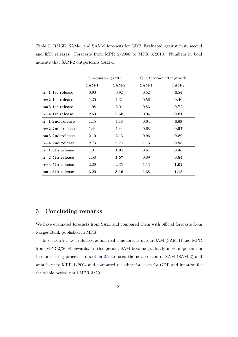<span id="page-22-1"></span>Table 7. RMSE. SAM-1 and SAM-2 forecasts for GDP. Evaluated against first, second and fifth releases. Forecasts from MPR 2/2008 to MPR 3/2010. Numbers in bold indicate that SAM-2 outperforms SAM-1.

|                   | Four-quarter growth |         |       | Quarter-to-quarter growth |
|-------------------|---------------------|---------|-------|---------------------------|
|                   | SAM-1               | $SAM-2$ | SAM-1 | $SAM-2$                   |
| $h=1$ 1st release | 0.90                | 0.92    | 0.52  | 0.54                      |
| $h=2$ 1st release | 1.30                | 1.31    | 0.56  | 0.40                      |
| $h=3$ 1st release | 1.98                | 2.01    | 0.83  | 0.72                      |
| $h=4$ 1st release | 2.60                | 2.58    | 0.94  | 0.81                      |
| $h=1$ 2nd release | 1.15                | 1.18    | 0.64  | 0.68                      |
| $h=2$ 2nd release | 1.44                | 1.44    | 0.68  | 0.57                      |
| $h=3$ 2nd release | 2.10                | 2.13    | 0.96  | 0.89                      |
| $h=4$ 2nd release | 2.73                | 2.71    | 1.13  | 0.98                      |
| $h=1$ 5th release | 1.01                | 1.01    | 0.61  | 0.46                      |
| $h=2$ 5th release | 1.58                | 1.57    | 0.89  | 0.84                      |
| $h=3$ 5th release | 2.29                | 2.35    | 1.13  | 1.02                      |
| $h=4$ 5th release | 3.20                | 3.16    | 1.38  | 1.15                      |

#### <span id="page-22-0"></span>3 Concluding remarks

We have evaluated forecasts from SAM and compared them with official forecasts from Norges Bank published in MPR.

In section [2.1](#page-6-0) we evaluated actual real-time forecasts from SAM (SAM-1) and MPR from MPR 2/2008 onwards. In this period, SAM became gradually more important in the forecasting process. In section [2.2](#page-11-0) we used the new version of SAM (SAM-2) and went back to MPR 1/2004 and computed real-time forecasts for GDP and inflation for the whole period until MPR 3/2011.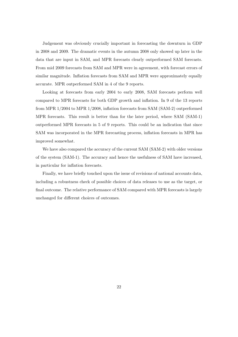Judgement was obviously crucially important in forecasting the downturn in GDP in 2008 and 2009. The dramatic events in the autumn 2008 only showed up later in the data that are input in SAM, and MPR forecasts clearly outperformed SAM forecasts. From mid 2009 forecasts from SAM and MPR were in agreement, with forecast errors of similar magnitude. Inflation forecasts from SAM and MPR were approximately equally accurate. MPR outperformed SAM in 4 of the 9 reports.

Looking at forecasts from early 2004 to early 2008, SAM forecasts perform well compared to MPR forecasts for both GDP growth and inflation. In 9 of the 13 reports from MPR 1/2004 to MPR 1/2008, inflation forecasts from SAM (SAM-2) outperformed MPR forecasts. This result is better than for the later period, where SAM (SAM-1) outperformed MPR forecasts in 5 of 9 reports. This could be an indication that since SAM was incorporated in the MPR forecasting process, inflation forecasts in MPR has improved somewhat.

We have also compared the accuracy of the current SAM (SAM-2) with older versions of the system (SAM-1). The accuracy and hence the usefulness of SAM have increased, in particular for inflation forecasts.

Finally, we have briefly touched upon the issue of revisions of national accounts data, including a robustness check of possible choices of data releases to use as the target, or final outcome. The relative performance of SAM compared with MPR forecasts is largely unchanged for different choices of outcomes.